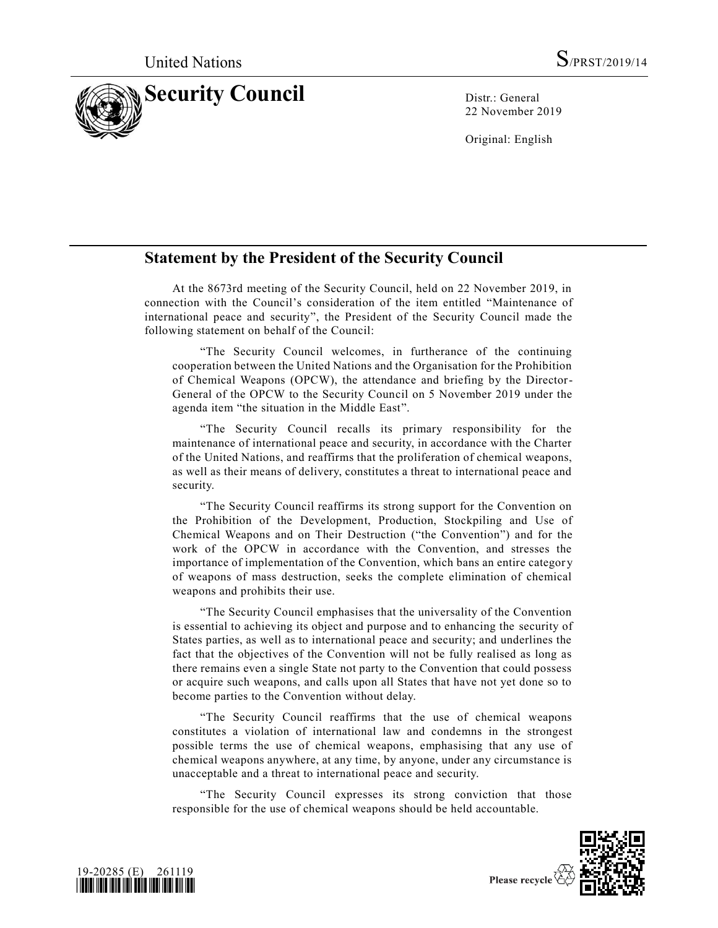

22 November 2019

Original: English

## **Statement by the President of the Security Council**

At the 8673rd meeting of the Security Council, held on 22 November 2019, in connection with the Council's consideration of the item entitled "Maintenance of international peace and security", the President of the Security Council made the following statement on behalf of the Council:

"The Security Council welcomes, in furtherance of the continuing cooperation between the United Nations and the Organisation for the Prohibition of Chemical Weapons (OPCW), the attendance and briefing by the Director-General of the OPCW to the Security Council on 5 November 2019 under the agenda item "the situation in the Middle East".

"The Security Council recalls its primary responsibility for the maintenance of international peace and security, in accordance with the Charter of the United Nations, and reaffirms that the proliferation of chemical weapons, as well as their means of delivery, constitutes a threat to international peace and security.

"The Security Council reaffirms its strong support for the Convention on the Prohibition of the Development, Production, Stockpiling and Use of Chemical Weapons and on Their Destruction ("the Convention") and for the work of the OPCW in accordance with the Convention, and stresses the importance of implementation of the Convention, which bans an entire categor y of weapons of mass destruction, seeks the complete elimination of chemical weapons and prohibits their use.

"The Security Council emphasises that the universality of the Convention is essential to achieving its object and purpose and to enhancing the security of States parties, as well as to international peace and security; and underlines the fact that the objectives of the Convention will not be fully realised as long as there remains even a single State not party to the Convention that could possess or acquire such weapons, and calls upon all States that have not yet done so to become parties to the Convention without delay.

"The Security Council reaffirms that the use of chemical weapons constitutes a violation of international law and condemns in the strongest possible terms the use of chemical weapons, emphasising that any use of chemical weapons anywhere, at any time, by anyone, under any circumstance is unacceptable and a threat to international peace and security.

"The Security Council expresses its strong conviction that those responsible for the use of chemical weapons should be held accountable.